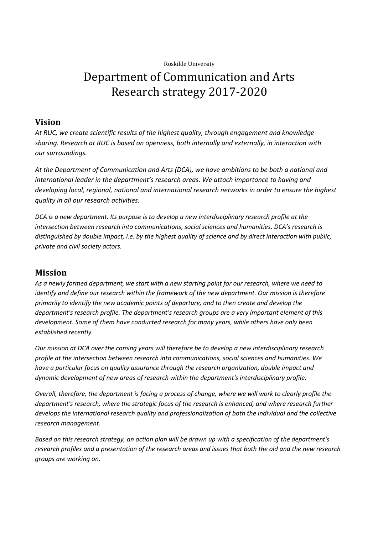Roskilde University

# Department of Communication and Arts Research strategy 2017-2020

#### **Vision**

*At RUC, we create scientific results of the highest quality, through engagement and knowledge sharing. Research at RUC is based on openness, both internally and externally, in interaction with our surroundings.*

*At the Department of Communication and Arts (DCA), we have ambitions to be both a national and international leader in the department's research areas. We attach importance to having and developing local, regional, national and international research networks in order to ensure the highest quality in all our research activities.*

*DCA is a new department. Its purpose is to develop a new interdisciplinary research profile at the intersection between research into communications, social sciences and humanities. DCA's research is distinguished by double impact, i.e. by the highest quality of science and by direct interaction with public, private and civil society actors.*

## **Mission**

*As a newly formed department, we start with a new starting point for our research, where we need to identify and define our research within the framework of the new department. Our mission is therefore primarily to identify the new academic points of departure, and to then create and develop the department's research profile. The department's research groups are a very important element of this development. Some of them have conducted research for many years, while others have only been established recently.*

*Our mission at DCA over the coming years will therefore be to develop a new interdisciplinary research profile at the intersection between research into communications, social sciences and humanities. We have a particular focus on quality assurance through the research organization, double impact and dynamic development of new areas of research within the department's interdisciplinary profile.*

*Overall, therefore, the department is facing a process of change, where we will work to clearly profile the department's research, where the strategic focus of the research is enhanced, and where research further develops the international research quality and professionalization of both the individual and the collective research management.*

*Based on this research strategy, an action plan will be drawn up with a specification of the department's research profiles and a presentation of the research areas and issues that both the old and the new research groups are working on.*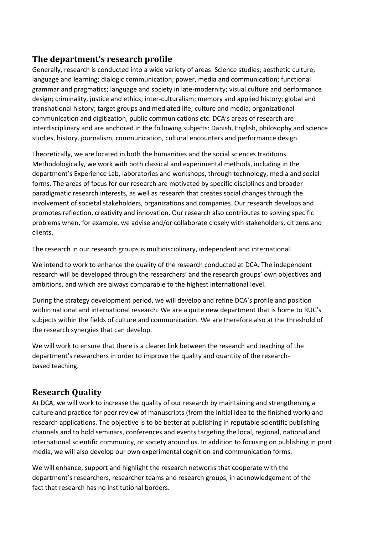## **The department's research profile**

Generally, research is conducted into a wide variety of areas: Science studies; aesthetic culture; language and learning; dialogic communication; power, media and communication; functional grammar and pragmatics; language and society in late-modernity; visual culture and performance design; criminality, justice and ethics; inter-culturalism; memory and applied history; global and transnational history; target groups and mediated life; culture and media; organizational communication and digitization, public communications etc. DCA's areas of research are interdisciplinary and are anchored in the following subjects: Danish, English, philosophy and science studies, history, journalism, communication, cultural encounters and performance design.

Theoretically, we are located in both the humanities and the social sciences traditions. Methodologically, we work with both classical and experimental methods, including in the department's Experience Lab, laboratories and workshops, through technology, media and social forms. The areas of focus for our research are motivated by specific disciplines and broader paradigmatic research interests, as well as research that creates social changes through the involvement of societal stakeholders, organizations and companies. Our research develops and promotes reflection, creativity and innovation. Our research also contributes to solving specific problems when, for example, we advise and/or collaborate closely with stakeholders, citizens and clients.

The research in our research groups is multidisciplinary, independent and international.

We intend to work to enhance the quality of the research conducted at DCA. The independent research will be developed through the researchers' and the research groups' own objectives and ambitions, and which are always comparable to the highest international level.

During the strategy development period, we will develop and refine DCA's profile and position within national and international research. We are a quite new department that is home to RUC's subjects within the fields of culture and communication. We are therefore also at the threshold of the research synergies that can develop.

We will work to ensure that there is a clearer link between the research and teaching of the department's researchers in order to improve the quality and quantity of the researchbased teaching.

# **Research Quality**

At DCA, we will work to increase the quality of our research by maintaining and strengthening a culture and practice for peer review of manuscripts (from the initial idea to the finished work) and research applications. The objective is to be better at publishing in reputable scientific publishing channels and to hold seminars, conferences and events targeting the local, regional, national and international scientific community, or society around us. In addition to focusing on publishing in print media, we will also develop our own experimental cognition and communication forms.

We will enhance, support and highlight the research networks that cooperate with the department's researchers, researcher teams and research groups, in acknowledgement of the fact that research has no institutional borders.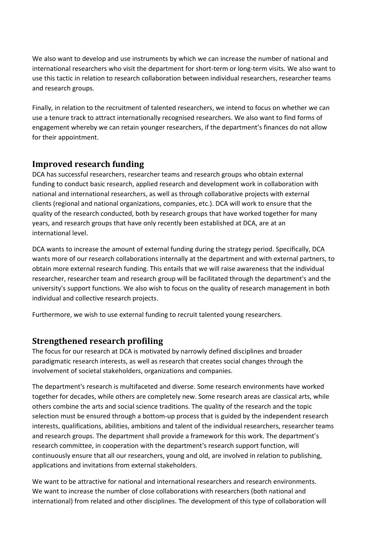We also want to develop and use instruments by which we can increase the number of national and international researchers who visit the department for short-term or long-term visits. We also want to use this tactic in relation to research collaboration between individual researchers, researcher teams and research groups.

Finally, in relation to the recruitment of talented researchers, we intend to focus on whether we can use a tenure track to attract internationally recognised researchers. We also want to find forms of engagement whereby we can retain younger researchers, if the department's finances do not allow for their appointment.

# **Improved research funding**

DCA has successful researchers, researcher teams and research groups who obtain external funding to conduct basic research, applied research and development work in collaboration with national and international researchers, as well as through collaborative projects with external clients (regional and national organizations, companies, etc.). DCA will work to ensure that the quality of the research conducted, both by research groups that have worked together for many years, and research groups that have only recently been established at DCA, are at an international level.

DCA wants to increase the amount of external funding during the strategy period. Specifically, DCA wants more of our research collaborations internally at the department and with external partners, to obtain more external research funding. This entails that we will raise awareness that the individual researcher, researcher team and research group will be facilitated through the department's and the university's support functions. We also wish to focus on the quality of research management in both individual and collective research projects.

Furthermore, we wish to use external funding to recruit talented young researchers.

# **Strengthened research profiling**

The focus for our research at DCA is motivated by narrowly defined disciplines and broader paradigmatic research interests, as well as research that creates social changes through the involvement of societal stakeholders, organizations and companies.

The department's research is multifaceted and diverse. Some research environments have worked together for decades, while others are completely new. Some research areas are classical arts, while others combine the arts and social science traditions. The quality of the research and the topic selection must be ensured through a bottom-up process that is guided by the independent research interests, qualifications, abilities, ambitions and talent of the individual researchers, researcher teams and research groups. The department shall provide a framework for this work. The department's research committee, in cooperation with the department's research support function, will continuously ensure that all our researchers, young and old, are involved in relation to publishing, applications and invitations from external stakeholders.

We want to be attractive for national and international researchers and research environments. We want to increase the number of close collaborations with researchers (both national and international) from related and other disciplines. The development of this type of collaboration will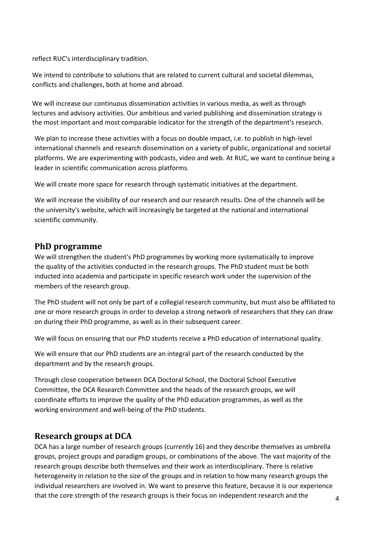reflect RUC's interdisciplinary tradition.

We intend to contribute to solutions that are related to current cultural and societal dilemmas, conflicts and challenges, both at home and abroad.

We will increase our continuous dissemination activities in various media, as well as through lectures and advisory activities. Our ambitious and varied publishing and dissemination strategy is the most important and most comparable indicator for the strength of the department's research.

We plan to increase these activities with a focus on double impact, i.e. to publish in high-level international channels and research dissemination on a variety of public, organizational and societal platforms. We are experimenting with podcasts, video and web. At RUC, we want to continue being a leader in scientific communication across platforms.

We will create more space for research through systematic initiatives at the department.

We will increase the visibility of our research and our research results. One of the channels will be the university's website, which will increasingly be targeted at the national and international scientific community.

## **PhD programme**

We will strengthen the student's PhD programmes by working more systematically to improve the quality of the activities conducted in the research groups. The PhD student must be both inducted into academia and participate in specific research work under the supervision of the members of the research group.

The PhD student will not only be part of a collegial research community, but must also be affiliated to one or more research groups in order to develop a strong network of researchers that they can draw on during their PhD programme, as well as in their subsequent career.

We will focus on ensuring that our PhD students receive a PhD education of international quality.

We will ensure that our PhD students are an integral part of the research conducted by the department and by the research groups.

Through close cooperation between DCA Doctoral School, the Doctoral School Executive Committee, the DCA Research Committee and the heads of the research groups, we will coordinate efforts to improve the quality of the PhD education programmes, as well as the working environment and well-being of the PhD students.

## **Research groups at DCA**

DCA has a large number of research groups (currently 16) and they describe themselves as umbrella groups, project groups and paradigm groups, or combinations of the above. The vast majority of the research groups describe both themselves and their work as interdisciplinary. There is relative heterogeneity in relation to the size of the groups and in relation to how many research groups the individual researchers are involved in. We want to preserve this feature, because it is our experience that the core strength of the research groups is their focus on independent research and the  $4\overline{4}$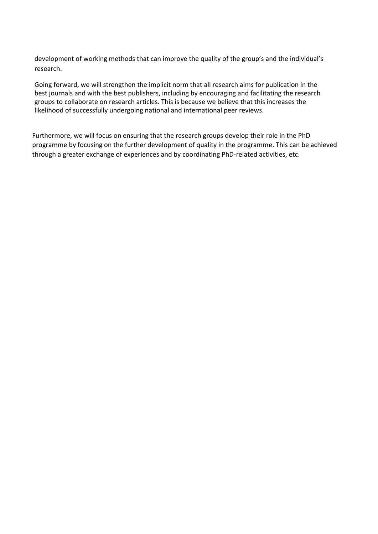development of working methods that can improve the quality of the group's and the individual's research.

Going forward, we will strengthen the implicit norm that all research aims for publication in the best journals and with the best publishers, including by encouraging and facilitating the research groups to collaborate on research articles. This is because we believe that this increases the likelihood of successfully undergoing national and international peer reviews.

Furthermore, we will focus on ensuring that the research groups develop their role in the PhD programme by focusing on the further development of quality in the programme. This can be achieved through a greater exchange of experiences and by coordinating PhD-related activities, etc.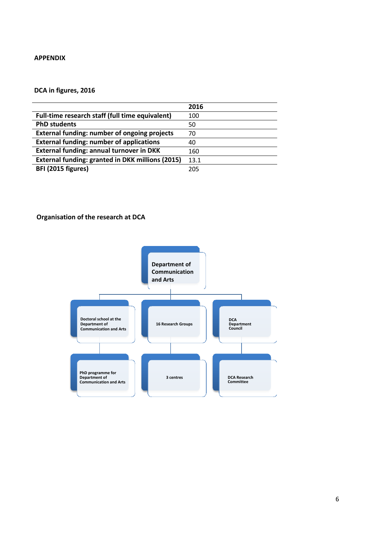#### **APPENDIX**

#### **DCA in figures, 2016**

|                                                         | 2016 |
|---------------------------------------------------------|------|
| Full-time research staff (full time equivalent)         | 100  |
| <b>PhD students</b>                                     | 50   |
| <b>External funding: number of ongoing projects</b>     | 70   |
| <b>External funding: number of applications</b>         | 40   |
| <b>External funding: annual turnover in DKK</b>         | 160  |
| <b>External funding: granted in DKK millions (2015)</b> | 13.1 |
| BFI (2015 figures)                                      | 205  |

#### **Organisation of the research at DCA**